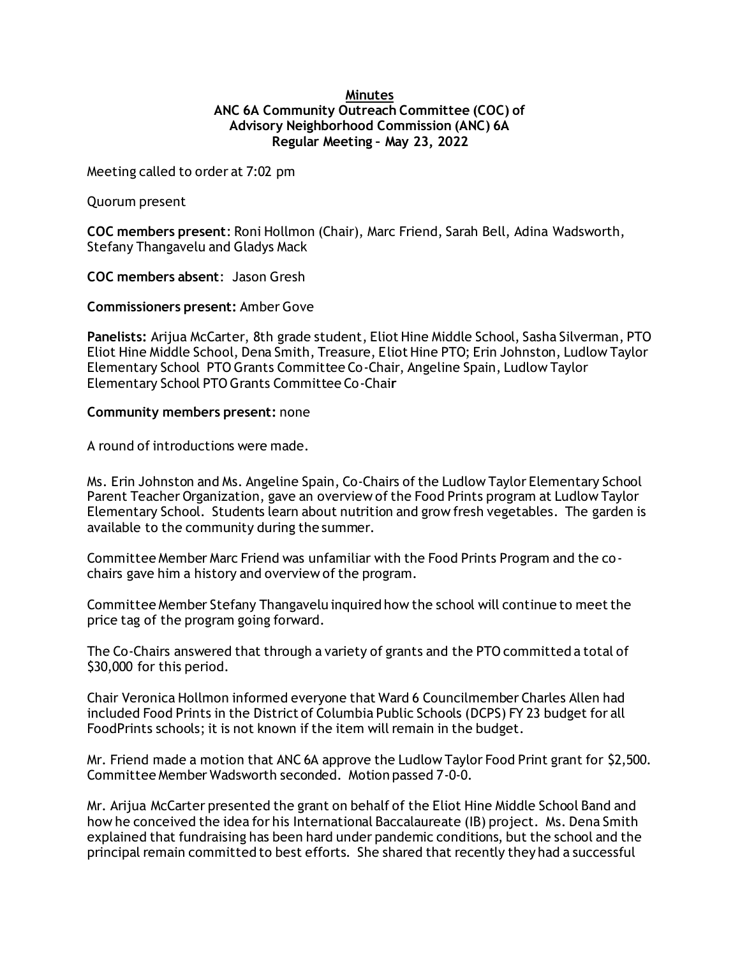## **Minutes ANC 6A Community Outreach Committee (COC) of Advisory Neighborhood Commission (ANC) 6A Regular Meeting – May 23, 2022**

Meeting called to order at 7:02 pm

Quorum present

**COC members present**: Roni Hollmon (Chair), Marc Friend, Sarah Bell, Adina Wadsworth, Stefany Thangavelu and Gladys Mack

**COC members absent**: Jason Gresh

**Commissioners present:** Amber Gove

**Panelists:** Arijua McCarter, 8th grade student, Eliot Hine Middle School, Sasha Silverman, PTO Eliot Hine Middle School, Dena Smith, Treasure, Eliot Hine PTO; Erin Johnston, Ludlow Taylor Elementary School PTO Grants Committee Co-Chair, Angeline Spain, Ludlow Taylor Elementary School PTO Grants Committee Co-Chai**r**

## **Community members present:** none

A round of introductions were made.

Ms. Erin Johnston and Ms. Angeline Spain, Co-Chairs of the Ludlow Taylor Elementary School Parent Teacher Organization, gave an overview of the Food Prints program at Ludlow Taylor Elementary School. Students learn about nutrition and grow fresh vegetables. The garden is available to the community during the summer.

Committee Member Marc Friend was unfamiliar with the Food Prints Program and the cochairs gave him a history and overview of the program.

Committee Member Stefany Thangavelu inquired how the school will continue to meet the price tag of the program going forward.

The Co-Chairs answered that through a variety of grants and the PTO committed a total of \$30,000 for this period.

Chair Veronica Hollmon informed everyone that Ward 6 Councilmember Charles Allen had included Food Prints in the District of Columbia Public Schools (DCPS) FY 23 budget for all FoodPrints schools; it is not known if the item will remain in the budget.

Mr. Friend made a motion that ANC 6A approve the Ludlow Taylor Food Print grant for \$2,500. Committee Member Wadsworth seconded. Motion passed 7-0-0.

Mr. Arijua McCarter presented the grant on behalf of the Eliot Hine Middle School Band and how he conceived the idea for his International Baccalaureate (IB) project. Ms. Dena Smith explained that fundraising has been hard under pandemic conditions, but the school and the principal remain committed to best efforts. She shared that recently they had a successful